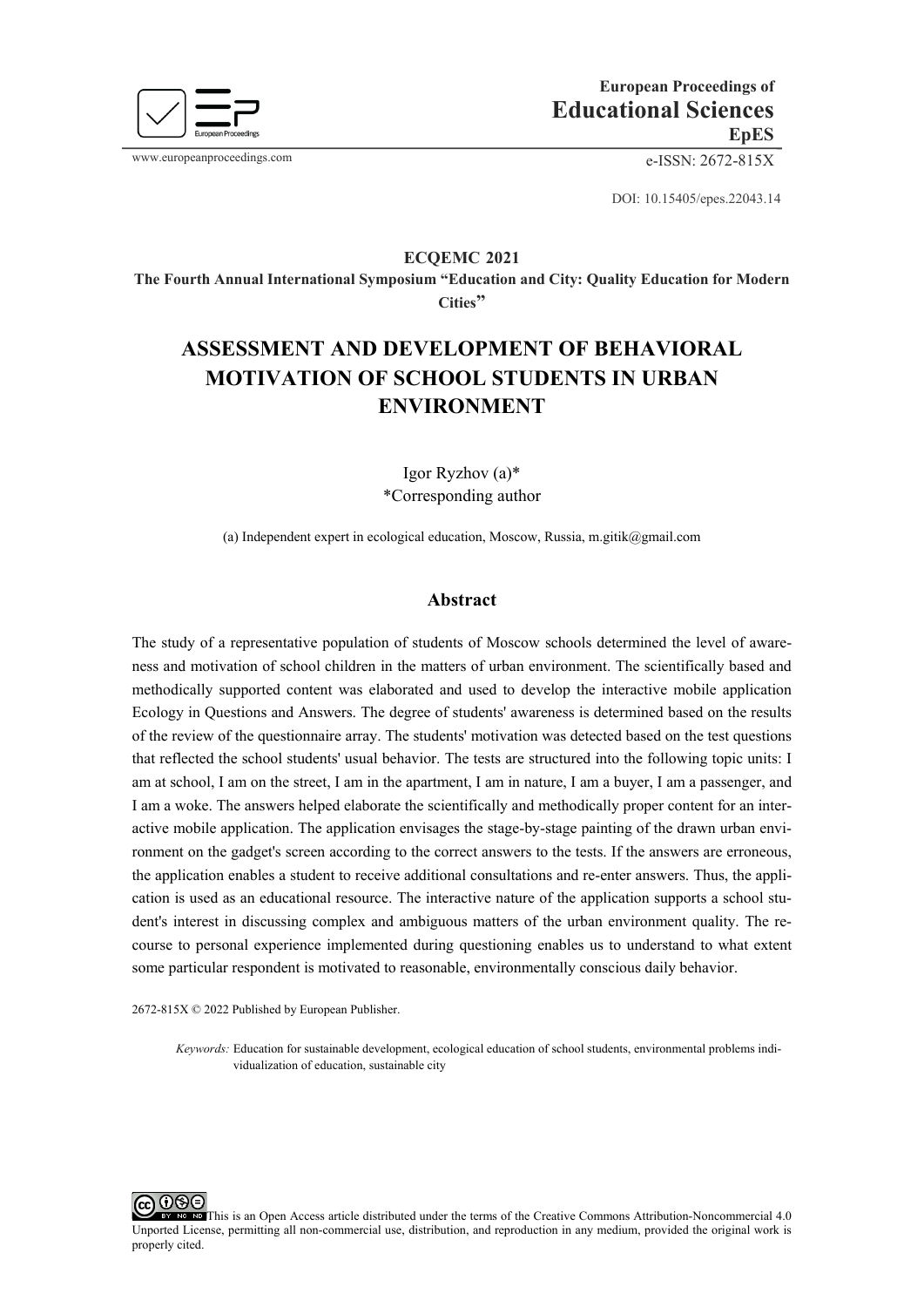

www.europeanproceedings.com e-ISSN: 2672-815X

DOI: 10.15405/epes.22043.14

## **ECQEMС 2021**

**The Fourth Annual International Symposium "Education and City: Quality Education for Modern Cities"**

# **ASSESSMENT AND DEVELOPMENT OF BEHAVIORAL MOTIVATION OF SCHOOL STUDENTS IN URBAN ENVIRONMENT**

Igor Ryzhov (a)\* \*Corresponding author

(a) Independent expert in ecological education, Moscow, Russia, m.gitik@gmail.com

## **Abstract**

The study of a representative population of students of Moscow schools determined the level of awareness and motivation of school children in the matters of urban environment. The scientifically based and methodically supported content was elaborated and used to develop the interactive mobile application Ecology in Questions and Answers. The degree of students' awareness is determined based on the results of the review of the questionnaire array. The students' motivation was detected based on the test questions that reflected the school students' usual behavior. The tests are structured into the following topic units: I am at school, I am on the street, I am in the apartment, I am in nature, I am a buyer, I am a passenger, and I am a woke. The answers helped elaborate the scientifically and methodically proper content for an interactive mobile application. The application envisages the stage-by-stage painting of the drawn urban environment on the gadget's screen according to the correct answers to the tests. If the answers are erroneous, the application enables a student to receive additional consultations and re-enter answers. Thus, the application is used as an educational resource. The interactive nature of the application supports a school student's interest in discussing complex and ambiguous matters of the urban environment quality. The recourse to personal experience implemented during questioning enables us to understand to what extent some particular respondent is motivated to reasonable, environmentally conscious daily behavior.

2672-815X © 2022 Published by European Publisher.

*Keywords:* Education for sustainable development, ecological education of school students, environmental problems individualization of education, sustainable city

This is an Open Access article distributed under the terms of the Creative Commons Attribution-Noncommercial 4.0 Unported License, permitting all non-commercial use, distribution, and reproduction in any medium, provided the original work is properly cited.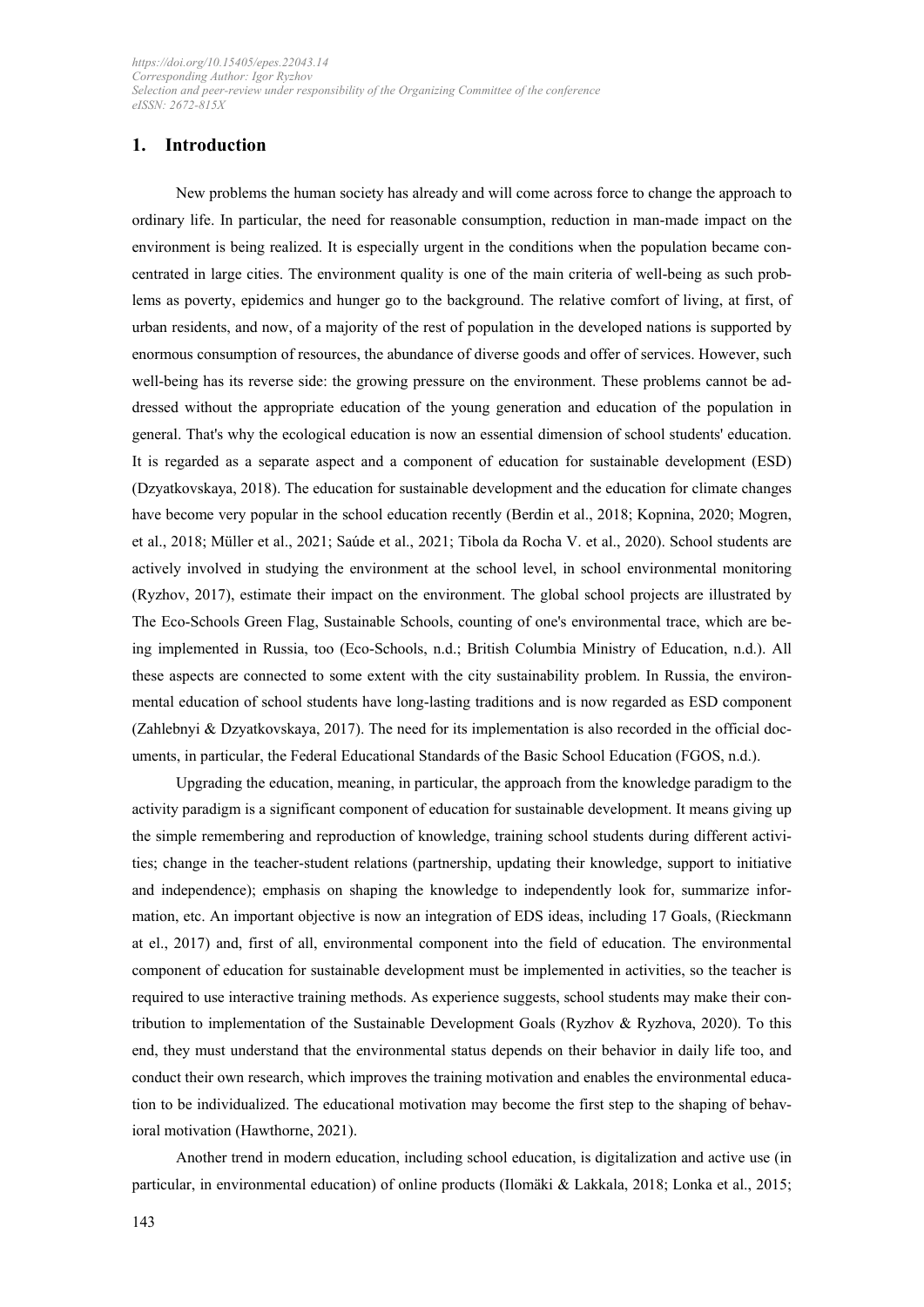## **1. Introduction**

New problems the human society has already and will come across force to change the approach to ordinary life. In particular, the need for reasonable consumption, reduction in man-made impact on the environment is being realized. It is especially urgent in the conditions when the population became concentrated in large cities. The environment quality is one of the main criteria of well-being as such problems as poverty, epidemics and hunger go to the background. The relative comfort of living, at first, of urban residents, and now, of a majority of the rest of population in the developed nations is supported by enormous consumption of resources, the abundance of diverse goods and offer of services. However, such well-being has its reverse side: the growing pressure on the environment. These problems cannot be addressed without the appropriate education of the young generation and education of the population in general. That's why the ecological education is now an essential dimension of school students' education. It is regarded as a separate aspect and a component of education for sustainable development (ESD) (Dzyatkovskaya, 2018). The education for sustainable development and the education for climate changes have become very popular in the school education recently (Berdin et al., 2018; Kopnina, 2020; Mogren, et al., 2018; Müller et al., 2021; Saúde et al., 2021; Tibola da Rocha V. et al., 2020). School students are actively involved in studying the environment at the school level, in school environmental monitoring (Ryzhov, 2017), estimate their impact on the environment. The global school projects are illustrated by The Eco-Schools Green Flag, Sustainable Schools, counting of one's environmental trace, which are being implemented in Russia, too (Eco-Schools, n.d.; British Columbia Ministry of Education, n.d.). All these aspects are connected to some extent with the city sustainability problem. In Russia, the environmental education of school students have long-lasting traditions and is now regarded as ESD component (Zahlebnyi & Dzyatkovskaya, 2017). The need for its implementation is also recorded in the official documents, in particular, the Federal Educational Standards of the Basic School Education (FGOS, n.d.).

Upgrading the education, meaning, in particular, the approach from the knowledge paradigm to the activity paradigm is a significant component of education for sustainable development. It means giving up the simple remembering and reproduction of knowledge, training school students during different activities; change in the teacher-student relations (partnership, updating their knowledge, support to initiative and independence); emphasis on shaping the knowledge to independently look for, summarize information, etc. An important objective is now an integration of EDS ideas, including 17 Goals, (Rieckmann at el., 2017) and, first of all, environmental component into the field of education. The environmental component of education for sustainable development must be implemented in activities, so the teacher is required to use interactive training methods. As experience suggests, school students may make their contribution to implementation of the Sustainable Development Goals (Ryzhov & Ryzhova, 2020). To this end, they must understand that the environmental status depends on their behavior in daily life too, and conduct their own research, which improves the training motivation and enables the environmental education to be individualized. The educational motivation may become the first step to the shaping of behavioral motivation (Hawthorne, 2021).

Another trend in modern education, including school education, is digitalization and active use (in particular, in environmental education) of online products (Ilomäki & Lakkala, 2018; Lonka et al., 2015;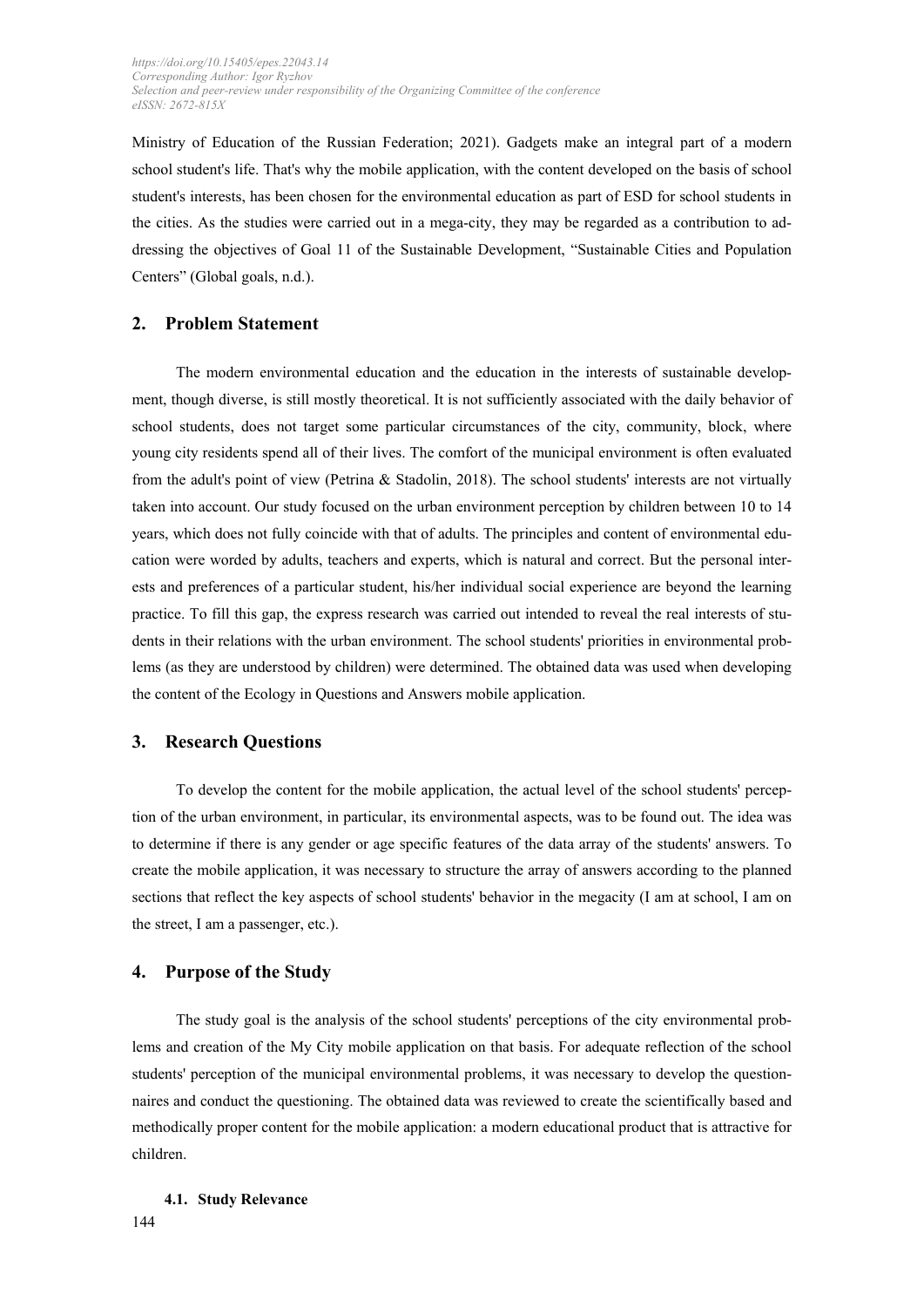Ministry of Education of the Russian Federation; 2021). Gadgets make an integral part of a modern school student's life. That's why the mobile application, with the content developed on the basis of school student's interests, has been chosen for the environmental education as part of ESD for school students in the cities. As the studies were carried out in a mega-city, they may be regarded as a contribution to addressing the objectives of Goal 11 of the Sustainable Development, "Sustainable Cities and Population Centers" (Global goals, n.d.).

## **2. Problem Statement**

The modern environmental education and the education in the interests of sustainable development, though diverse, is still mostly theoretical. It is not sufficiently associated with the daily behavior of school students, does not target some particular circumstances of the city, community, block, where young city residents spend all of their lives. The comfort of the municipal environment is often evaluated from the adult's point of view (Petrina & Stadolin, 2018). The school students' interests are not virtually taken into account. Our study focused on the urban environment perception by children between 10 to 14 years, which does not fully coincide with that of adults. The principles and content of environmental education were worded by adults, teachers and experts, which is natural and correct. But the personal interests and preferences of a particular student, his/her individual social experience are beyond the learning practice. To fill this gap, the express research was carried out intended to reveal the real interests of students in their relations with the urban environment. The school students' priorities in environmental problems (as they are understood by children) were determined. The obtained data was used when developing the content of the Ecology in Questions and Answers mobile application.

## **3. Research Questions**

To develop the content for the mobile application, the actual level of the school students' perception of the urban environment, in particular, its environmental aspects, was to be found out. The idea was to determine if there is any gender or age specific features of the data array of the students' answers. To create the mobile application, it was necessary to structure the array of answers according to the planned sections that reflect the key aspects of school students' behavior in the megacity (I am at school, I am on the street, I am a passenger, etc.).

### **4. Purpose of the Study**

The study goal is the analysis of the school students' perceptions of the city environmental problems and creation of the My City mobile application on that basis. For adequate reflection of the school students' perception of the municipal environmental problems, it was necessary to develop the questionnaires and conduct the questioning. The obtained data was reviewed to create the scientifically based and methodically proper content for the mobile application: a modern educational product that is attractive for children.

#### **4.1. Study Relevance**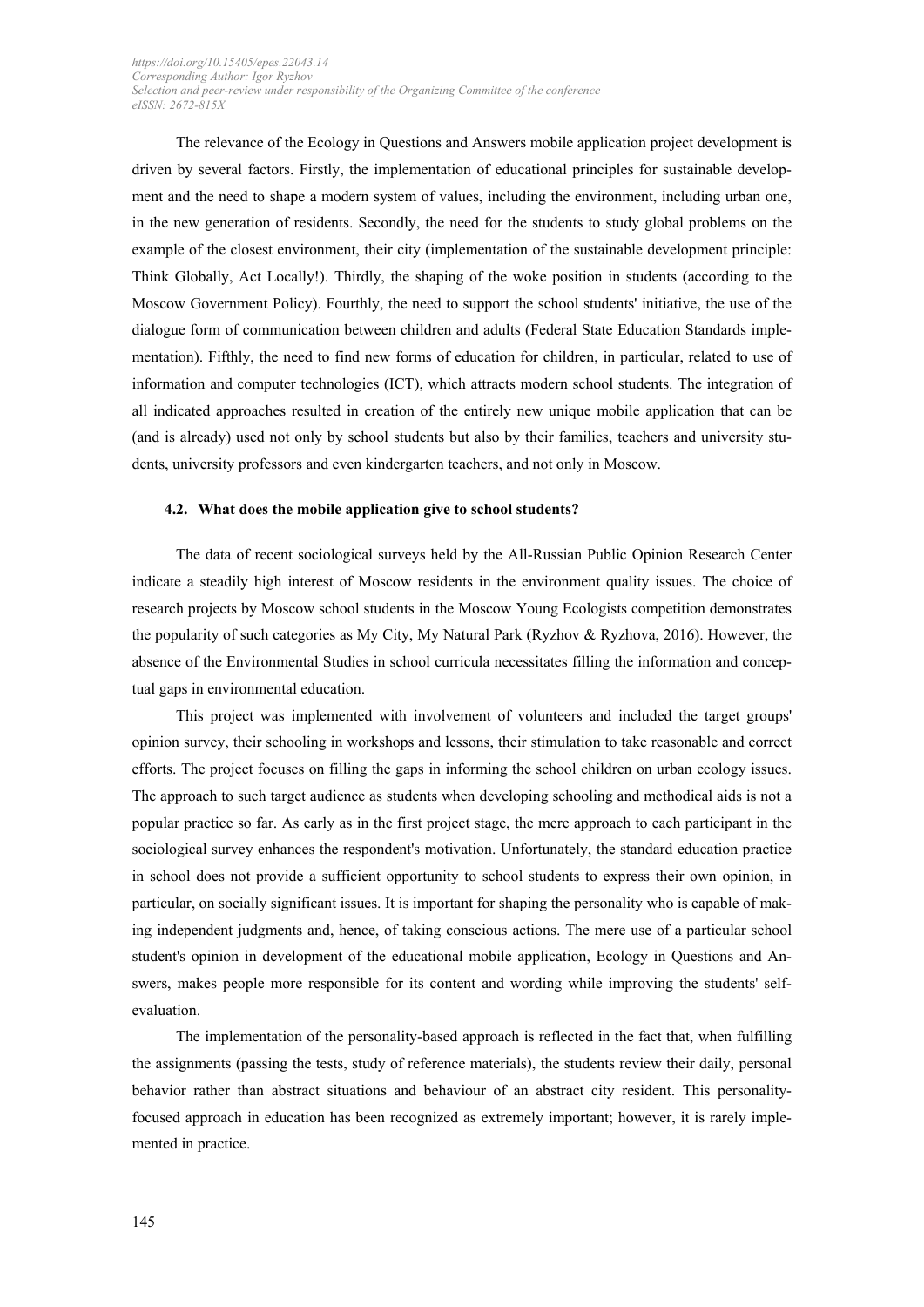The relevance of the Ecology in Questions and Answers mobile application project development is driven by several factors. Firstly, the implementation of educational principles for sustainable development and the need to shape a modern system of values, including the environment, including urban one, in the new generation of residents. Secondly, the need for the students to study global problems on the example of the closest environment, their city (implementation of the sustainable development principle: Think Globally, Act Locally!). Thirdly, the shaping of the woke position in students (according to the Moscow Government Policy). Fourthly, the need to support the school students' initiative, the use of the dialogue form of communication between children and adults (Federal State Education Standards implementation). Fifthly, the need to find new forms of education for children, in particular, related to use of information and computer technologies (ICT), which attracts modern school students. The integration of all indicated approaches resulted in creation of the entirely new unique mobile application that can be (and is already) used not only by school students but also by their families, teachers and university students, university professors and even kindergarten teachers, and not only in Moscow.

#### **4.2. What does the mobile application give to school students?**

The data of recent sociological surveys held by the All-Russian Public Opinion Research Center indicate a steadily high interest of Moscow residents in the environment quality issues. The choice of research projects by Moscow school students in the Moscow Young Ecologists competition demonstrates the popularity of such categories as My City, My Natural Park (Ryzhov & Ryzhova, 2016). However, the absence of the Environmental Studies in school curricula necessitates filling the information and conceptual gaps in environmental education.

This project was implemented with involvement of volunteers and included the target groups' opinion survey, their schooling in workshops and lessons, their stimulation to take reasonable and correct efforts. The project focuses on filling the gaps in informing the school children on urban ecology issues. The approach to such target audience as students when developing schooling and methodical aids is not a popular practice so far. As early as in the first project stage, the mere approach to each participant in the sociological survey enhances the respondent's motivation. Unfortunately, the standard education practice in school does not provide a sufficient opportunity to school students to express their own opinion, in particular, on socially significant issues. It is important for shaping the personality who is capable of making independent judgments and, hence, of taking conscious actions. The mere use of a particular school student's opinion in development of the educational mobile application, Ecology in Questions and Answers, makes people more responsible for its content and wording while improving the students' selfevaluation.

The implementation of the personality-based approach is reflected in the fact that, when fulfilling the assignments (passing the tests, study of reference materials), the students review their daily, personal behavior rather than abstract situations and behaviour of an abstract city resident. This personalityfocused approach in education has been recognized as extremely important; however, it is rarely implemented in practice.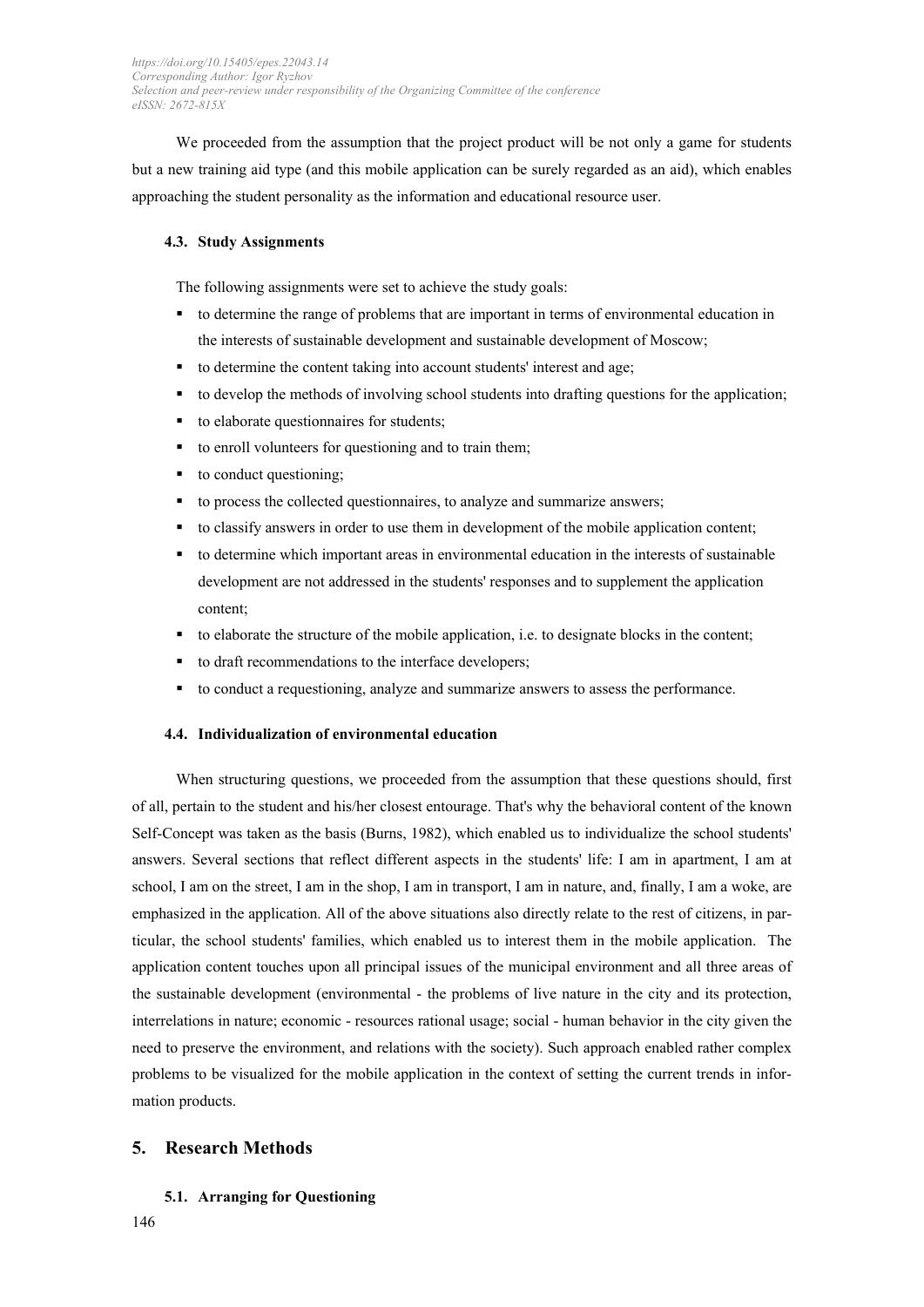We proceeded from the assumption that the project product will be not only a game for students but a new training aid type (and this mobile application can be surely regarded as an aid), which enables approaching the student personality as the information and educational resource user.

### **4.3. Study Assignments**

The following assignments were set to achieve the study goals:

- to determine the range of problems that are important in terms of environmental education in the interests of sustainable development and sustainable development of Moscow;
- to determine the content taking into account students' interest and age;
- to develop the methods of involving school students into drafting questions for the application;
- to elaborate questionnaires for students;
- to enroll volunteers for questioning and to train them;
- to conduct questioning;
- to process the collected questionnaires, to analyze and summarize answers;
- to classify answers in order to use them in development of the mobile application content;
- to determine which important areas in environmental education in the interests of sustainable development are not addressed in the students' responses and to supplement the application content;
- to elaborate the structure of the mobile application, i.e. to designate blocks in the content;
- to draft recommendations to the interface developers;
- to conduct a requestioning, analyze and summarize answers to assess the performance.

#### **4.4. Individualization of environmental education**

When structuring questions, we proceeded from the assumption that these questions should, first of all, pertain to the student and his/her closest entourage. That's why the behavioral content of the known Self-Concept was taken as the basis (Burns, 1982), which enabled us to individualize the school students' answers. Several sections that reflect different aspects in the students' life: I am in apartment, I am at school, I am on the street, I am in the shop, I am in transport, I am in nature, and, finally, I am a woke, are emphasized in the application. All of the above situations also directly relate to the rest of citizens, in particular, the school students' families, which enabled us to interest them in the mobile application. The application content touches upon all principal issues of the municipal environment and all three areas of the sustainable development (environmental - the problems of live nature in the city and its protection, interrelations in nature; economic - resources rational usage; social - human behavior in the city given the need to preserve the environment, and relations with the society). Such approach enabled rather complex problems to be visualized for the mobile application in the context of setting the current trends in information products.

## **5. Research Methods**

**5.1. Arranging for Questioning**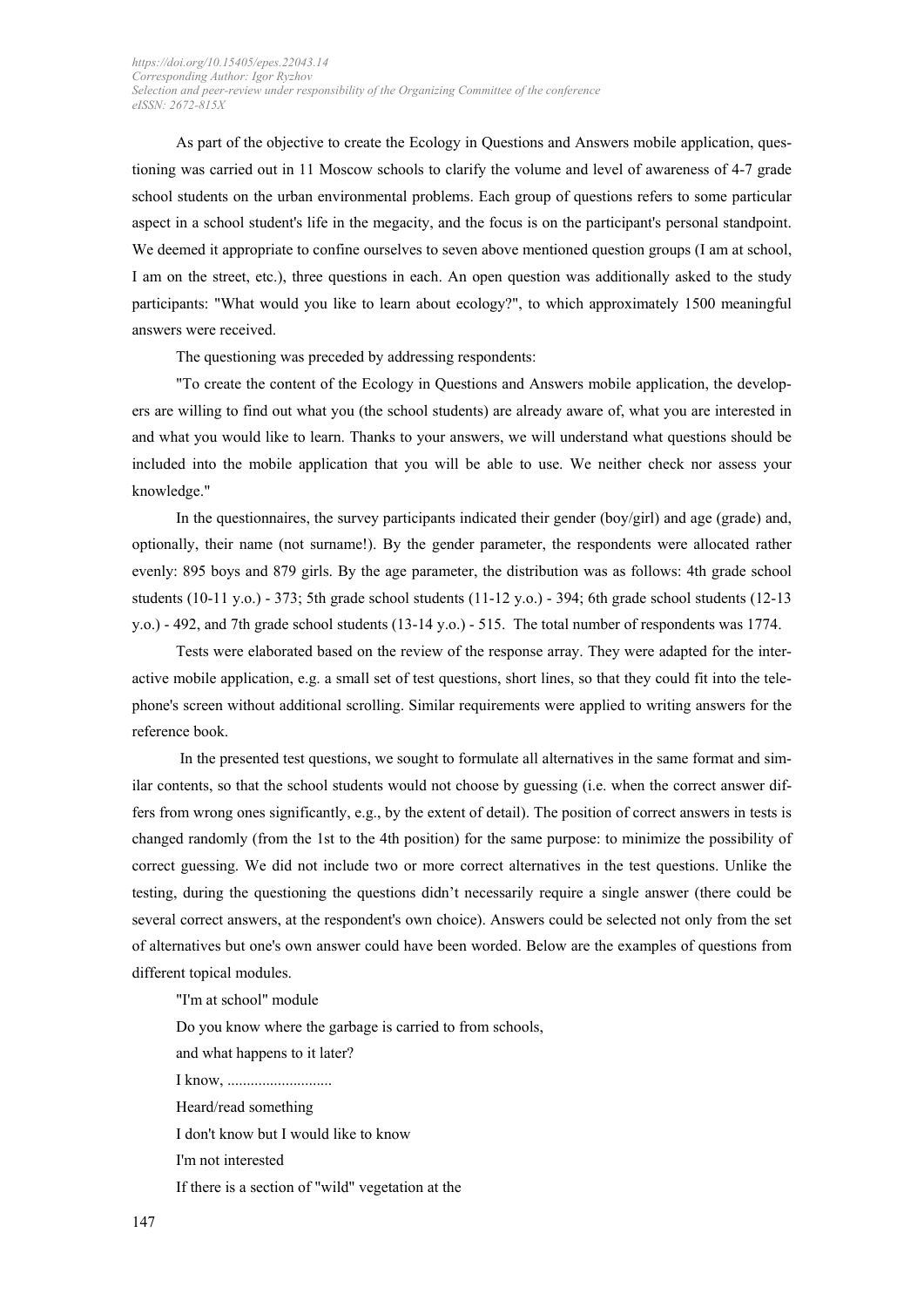As part of the objective to create the Ecology in Questions and Answers mobile application, questioning was carried out in 11 Moscow schools to clarify the volume and level of awareness of 4-7 grade school students on the urban environmental problems. Each group of questions refers to some particular aspect in a school student's life in the megacity, and the focus is on the participant's personal standpoint. We deemed it appropriate to confine ourselves to seven above mentioned question groups (I am at school, I am on the street, etc.), three questions in each. An open question was additionally asked to the study participants: "What would you like to learn about ecology?", to which approximately 1500 meaningful answers were received.

The questioning was preceded by addressing respondents:

"To create the content of the Ecology in Questions and Answers mobile application, the developers are willing to find out what you (the school students) are already aware of, what you are interested in and what you would like to learn. Thanks to your answers, we will understand what questions should be included into the mobile application that you will be able to use. We neither check nor assess your knowledge."

In the questionnaires, the survey participants indicated their gender (boy/girl) and age (grade) and, optionally, their name (not surname!). By the gender parameter, the respondents were allocated rather evenly: 895 boys and 879 girls. By the age parameter, the distribution was as follows: 4th grade school students (10-11 y.o.) - 373; 5th grade school students (11-12 y.o.) - 394; 6th grade school students (12-13 y.o.) - 492, and 7th grade school students (13-14 y.o.) - 515. The total number of respondents was 1774.

Tests were elaborated based on the review of the response array. They were adapted for the interactive mobile application, e.g. a small set of test questions, short lines, so that they could fit into the telephone's screen without additional scrolling. Similar requirements were applied to writing answers for the reference book.

In the presented test questions, we sought to formulate all alternatives in the same format and similar contents, so that the school students would not choose by guessing (i.e. when the correct answer differs from wrong ones significantly, e.g., by the extent of detail). The position of correct answers in tests is changed randomly (from the 1st to the 4th position) for the same purpose: to minimize the possibility of correct guessing. We did not include two or more correct alternatives in the test questions. Unlike the testing, during the questioning the questions didn't necessarily require a single answer (there could be several correct answers, at the respondent's own choice). Answers could be selected not only from the set of alternatives but one's own answer could have been worded. Below are the examples of questions from different topical modules.

"I'm at school" module

Do you know where the garbage is carried to from schools, and what happens to it later? I know, ........................... Heard/read something I don't know but I would like to know I'm not interested If there is a section of "wild" vegetation at the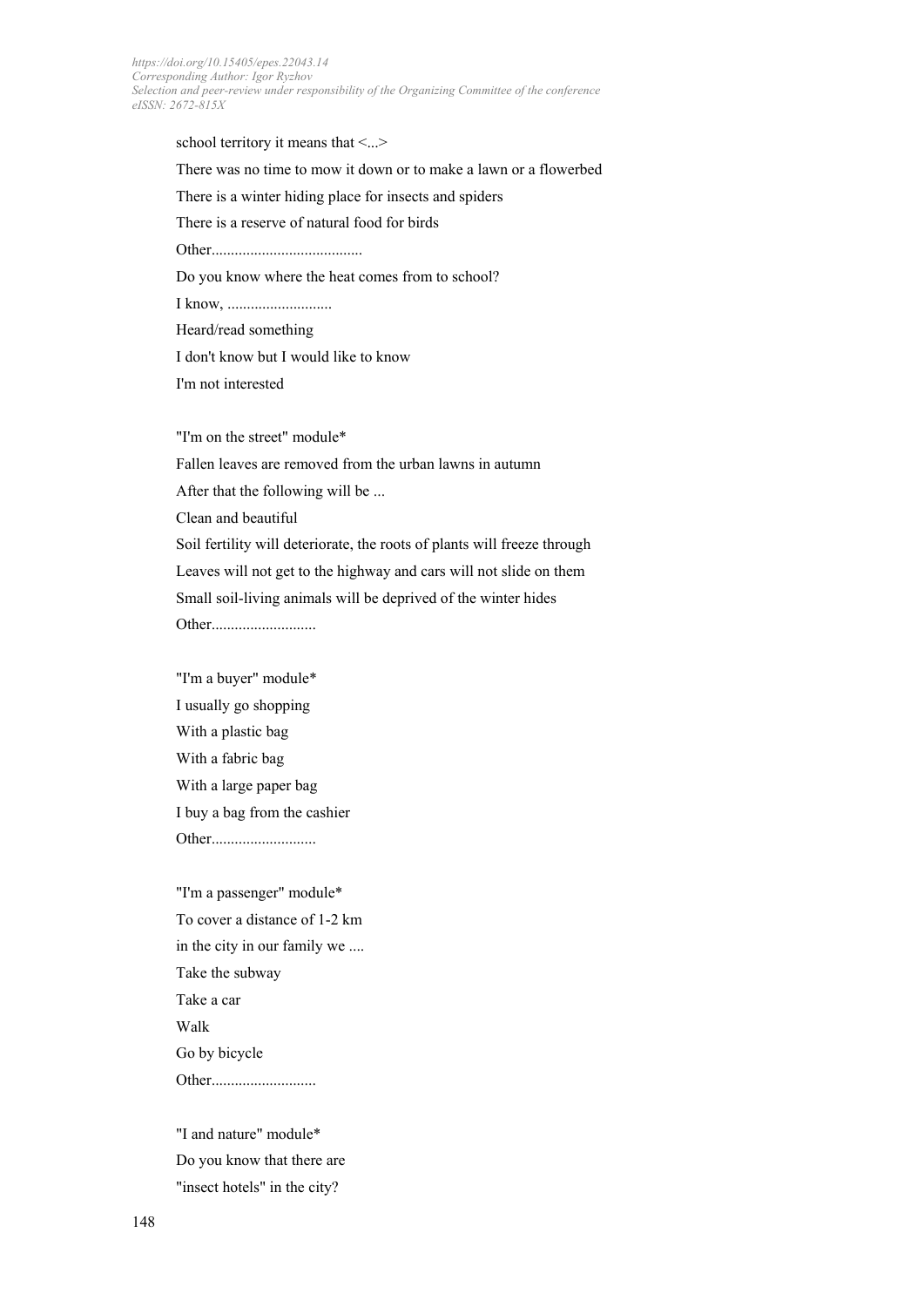school territory it means that <...>

There was no time to mow it down or to make a lawn or a flowerbed

There is a winter hiding place for insects and spiders

There is a reserve of natural food for birds

Other.......................................

Do you know where the heat comes from to school?

I know, ...........................

Heard/read something

I don't know but I would like to know

I'm not interested

"I'm on the street" module\*

Fallen leaves are removed from the urban lawns in autumn

After that the following will be ...

Clean and beautiful

Soil fertility will deteriorate, the roots of plants will freeze through Leaves will not get to the highway and cars will not slide on them Small soil-living animals will be deprived of the winter hides Other...........................

"I'm a buyer" module\* I usually go shopping With a plastic bag With a fabric bag With a large paper bag I buy a bag from the cashier Other...........................

"I'm a passenger" module\* To cover a distance of 1-2 km in the city in our family we .... Take the subway Take a car Walk Go by bicycle Other...........................

"I and nature" module\* Do you know that there are "insect hotels" in the city?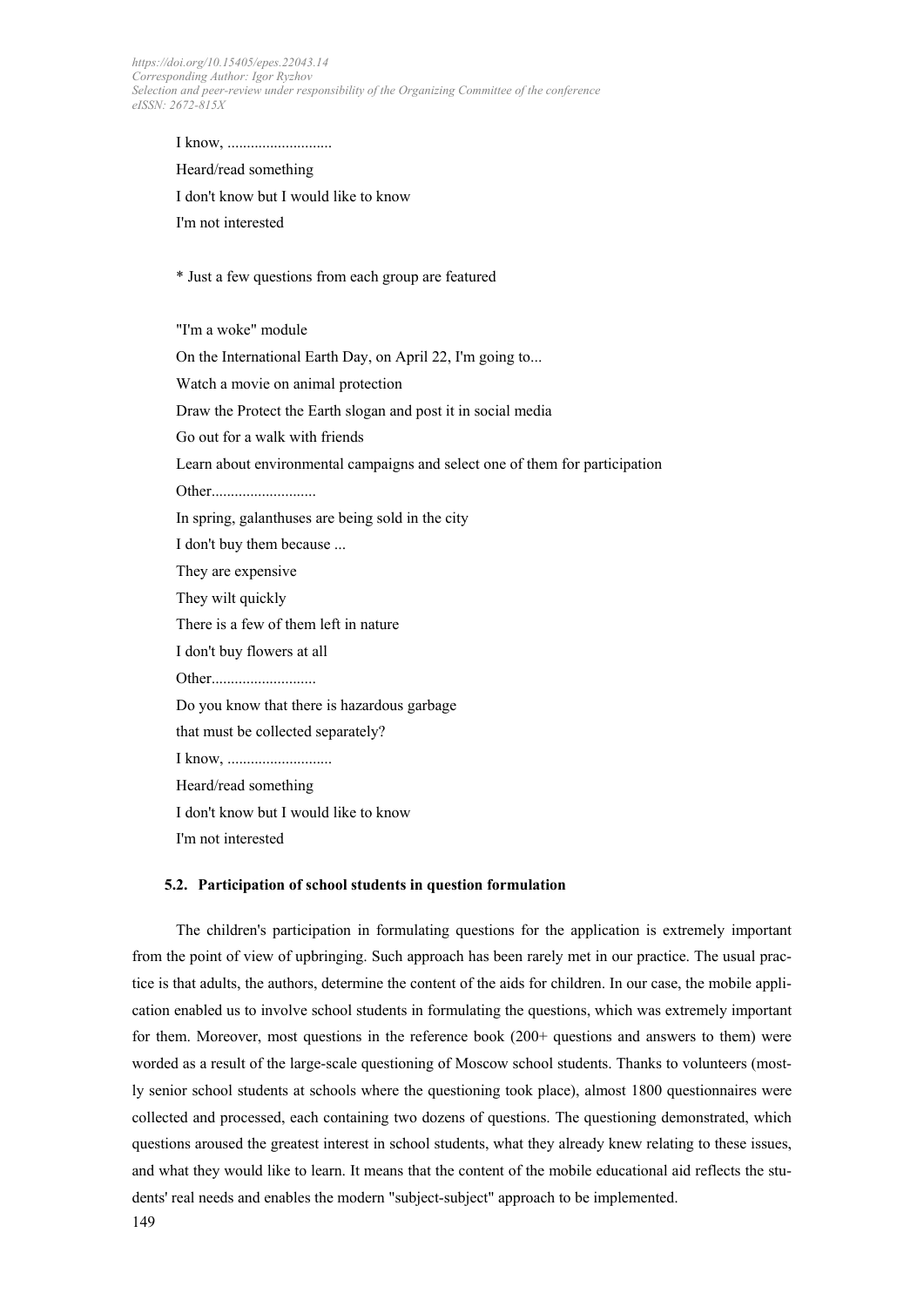I know, ...........................

Heard/read something

I don't know but I would like to know

I'm not interested

\* Just a few questions from each group are featured

"I'm a woke" module

On the International Earth Day, on April 22, I'm going to...

Watch a movie on animal protection

Draw the Protect the Earth slogan and post it in social media

Go out for a walk with friends

Learn about environmental campaigns and select one of them for participation

Other...........................

In spring, galanthuses are being sold in the city

I don't buy them because ...

They are expensive

They wilt quickly

There is a few of them left in nature

I don't buy flowers at all

Other...........................

Do you know that there is hazardous garbage

that must be collected separately?

I know, ...........................

Heard/read something

I don't know but I would like to know

I'm not interested

#### **5.2. Participation of school students in question formulation**

149 The children's participation in formulating questions for the application is extremely important from the point of view of upbringing. Such approach has been rarely met in our practice. The usual practice is that adults, the authors, determine the content of the aids for children. In our case, the mobile application enabled us to involve school students in formulating the questions, which was extremely important for them. Moreover, most questions in the reference book (200+ questions and answers to them) were worded as a result of the large-scale questioning of Moscow school students. Thanks to volunteers (mostly senior school students at schools where the questioning took place), almost 1800 questionnaires were collected and processed, each containing two dozens of questions. The questioning demonstrated, which questions aroused the greatest interest in school students, what they already knew relating to these issues, and what they would like to learn. It means that the content of the mobile educational aid reflects the students' real needs and enables the modern "subject-subject" approach to be implemented.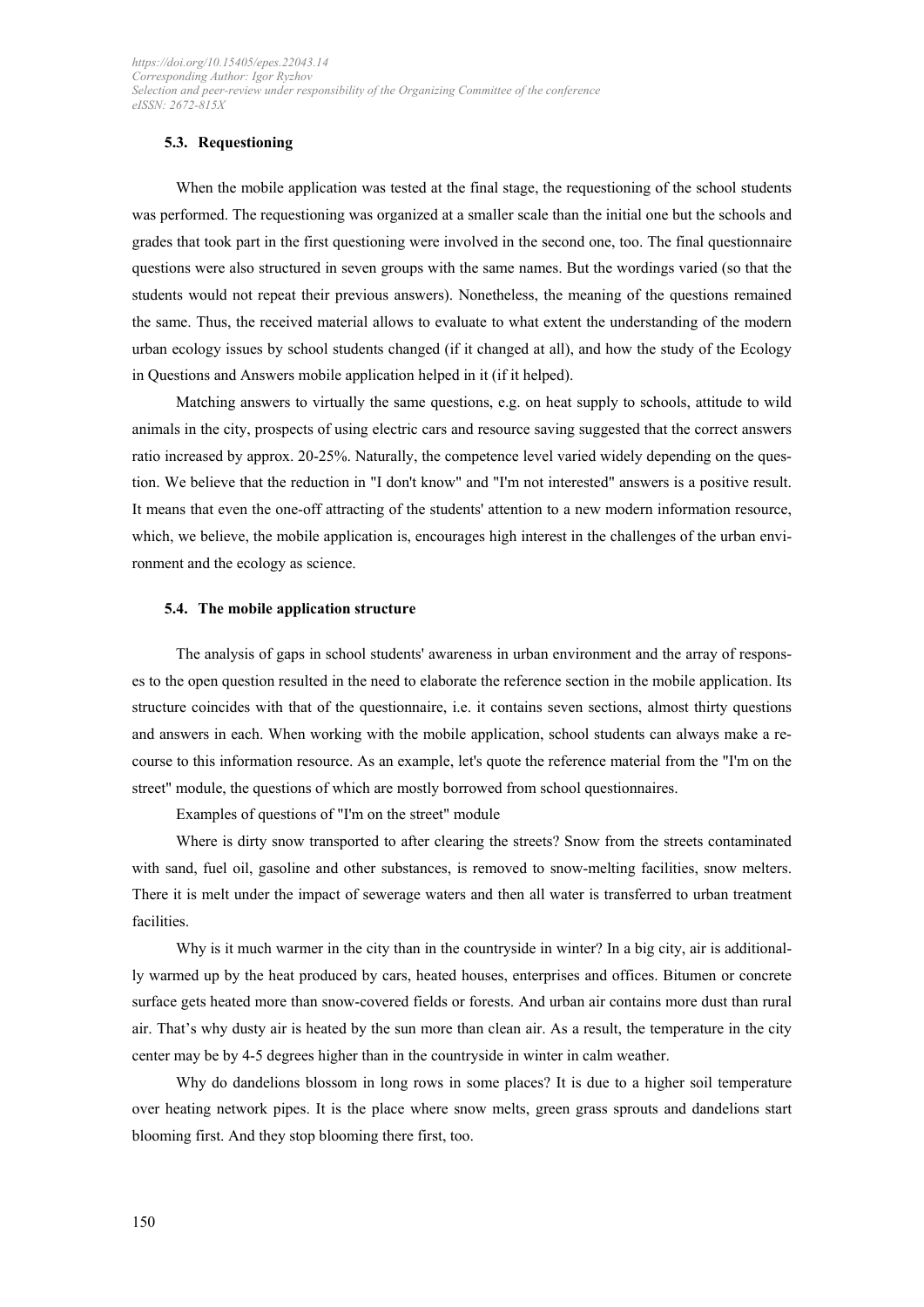## **5.3. Requestioning**

When the mobile application was tested at the final stage, the requestioning of the school students was performed. The requestioning was organized at a smaller scale than the initial one but the schools and grades that took part in the first questioning were involved in the second one, too. The final questionnaire questions were also structured in seven groups with the same names. But the wordings varied (so that the students would not repeat their previous answers). Nonetheless, the meaning of the questions remained the same. Thus, the received material allows to evaluate to what extent the understanding of the modern urban ecology issues by school students changed (if it changed at all), and how the study of the Ecology in Questions and Answers mobile application helped in it (if it helped).

Matching answers to virtually the same questions, e.g. on heat supply to schools, attitude to wild animals in the city, prospects of using electric cars and resource saving suggested that the correct answers ratio increased by approx. 20-25%. Naturally, the competence level varied widely depending on the question. We believe that the reduction in "I don't know" and "I'm not interested" answers is a positive result. It means that even the one-off attracting of the students' attention to a new modern information resource, which, we believe, the mobile application is, encourages high interest in the challenges of the urban environment and the ecology as science.

#### **5.4. The mobile application structure**

The analysis of gaps in school students' awareness in urban environment and the array of responses to the open question resulted in the need to elaborate the reference section in the mobile application. Its structure coincides with that of the questionnaire, i.e. it contains seven sections, almost thirty questions and answers in each. When working with the mobile application, school students can always make a recourse to this information resource. As an example, let's quote the reference material from the "I'm on the street" module, the questions of which are mostly borrowed from school questionnaires.

Examples of questions of "I'm on the street" module

Where is dirty snow transported to after clearing the streets? Snow from the streets contaminated with sand, fuel oil, gasoline and other substances, is removed to snow-melting facilities, snow melters. There it is melt under the impact of sewerage waters and then all water is transferred to urban treatment facilities.

Why is it much warmer in the city than in the countryside in winter? In a big city, air is additionally warmed up by the heat produced by cars, heated houses, enterprises and offices. Bitumen or concrete surface gets heated more than snow-covered fields or forests. And urban air contains more dust than rural air. That's why dusty air is heated by the sun more than clean air. As a result, the temperature in the city center may be by 4-5 degrees higher than in the countryside in winter in calm weather.

Why do dandelions blossom in long rows in some places? It is due to a higher soil temperature over heating network pipes. It is the place where snow melts, green grass sprouts and dandelions start blooming first. And they stop blooming there first, too.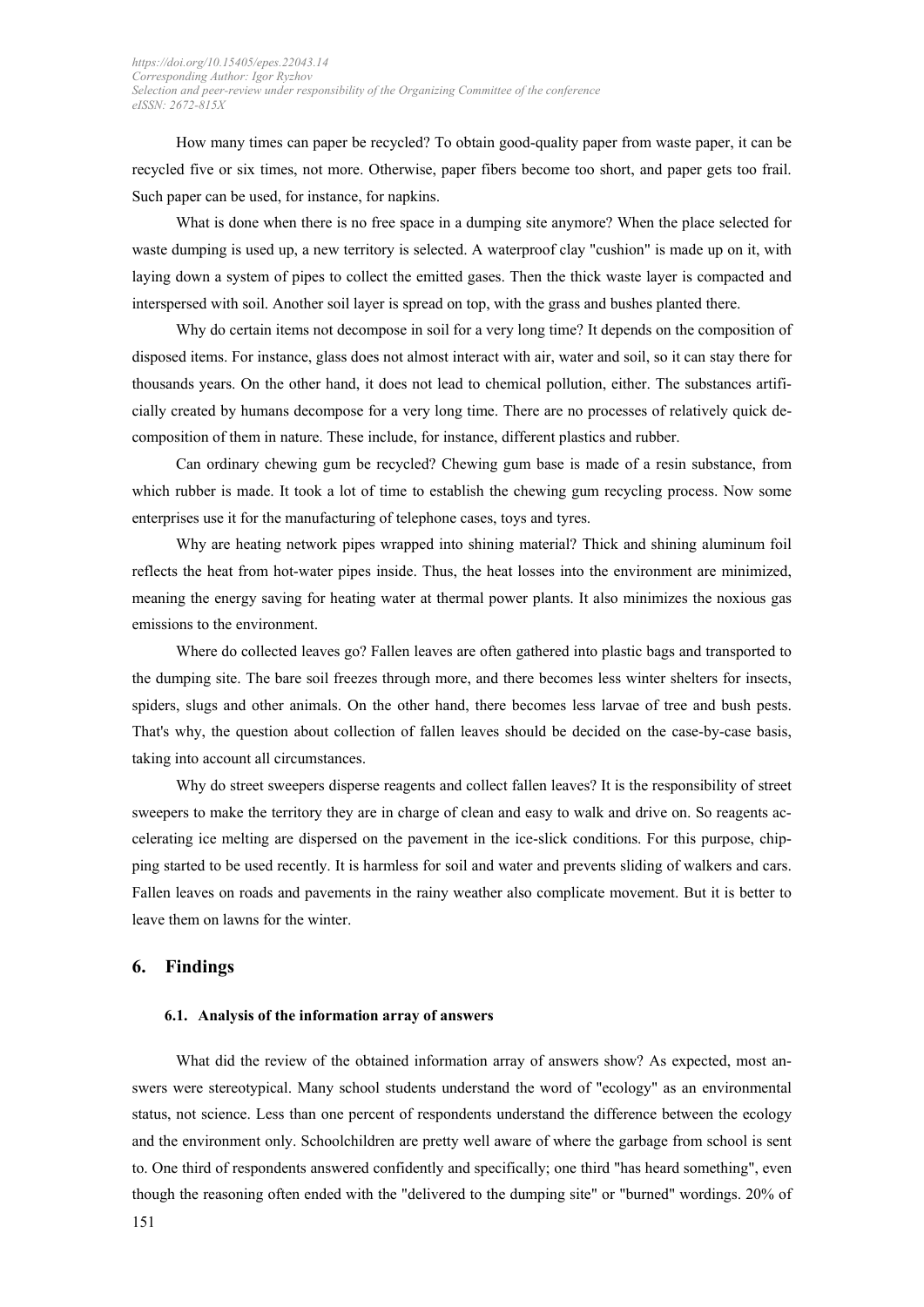How many times can paper be recycled? To obtain good-quality paper from waste paper, it can be recycled five or six times, not more. Otherwise, paper fibers become too short, and paper gets too frail. Such paper can be used, for instance, for napkins.

What is done when there is no free space in a dumping site anymore? When the place selected for waste dumping is used up, a new territory is selected. A waterproof clay "cushion" is made up on it, with laying down a system of pipes to collect the emitted gases. Then the thick waste layer is compacted and interspersed with soil. Another soil layer is spread on top, with the grass and bushes planted there.

Why do certain items not decompose in soil for a very long time? It depends on the composition of disposed items. For instance, glass does not almost interact with air, water and soil, so it can stay there for thousands years. On the other hand, it does not lead to chemical pollution, either. The substances artificially created by humans decompose for a very long time. There are no processes of relatively quick decomposition of them in nature. These include, for instance, different plastics and rubber.

Can ordinary chewing gum be recycled? Chewing gum base is made of a resin substance, from which rubber is made. It took a lot of time to establish the chewing gum recycling process. Now some enterprises use it for the manufacturing of telephone cases, toys and tyres.

Why are heating network pipes wrapped into shining material? Thick and shining aluminum foil reflects the heat from hot-water pipes inside. Thus, the heat losses into the environment are minimized, meaning the energy saving for heating water at thermal power plants. It also minimizes the noxious gas emissions to the environment.

Where do collected leaves go? Fallen leaves are often gathered into plastic bags and transported to the dumping site. The bare soil freezes through more, and there becomes less winter shelters for insects, spiders, slugs and other animals. On the other hand, there becomes less larvae of tree and bush pests. That's why, the question about collection of fallen leaves should be decided on the case-by-case basis, taking into account all circumstances.

Why do street sweepers disperse reagents and collect fallen leaves? It is the responsibility of street sweepers to make the territory they are in charge of clean and easy to walk and drive on. So reagents accelerating ice melting are dispersed on the pavement in the ice-slick conditions. For this purpose, chipping started to be used recently. It is harmless for soil and water and prevents sliding of walkers and cars. Fallen leaves on roads and pavements in the rainy weather also complicate movement. But it is better to leave them on lawns for the winter.

## **6. Findings**

#### **6.1. Analysis of the information array of answers**

What did the review of the obtained information array of answers show? As expected, most answers were stereotypical. Many school students understand the word of "ecology" as an environmental status, not science. Less than one percent of respondents understand the difference between the ecology and the environment only. Schoolchildren are pretty well aware of where the garbage from school is sent to. One third of respondents answered confidently and specifically; one third "has heard something", even though the reasoning often ended with the "delivered to the dumping site" or "burned" wordings. 20% of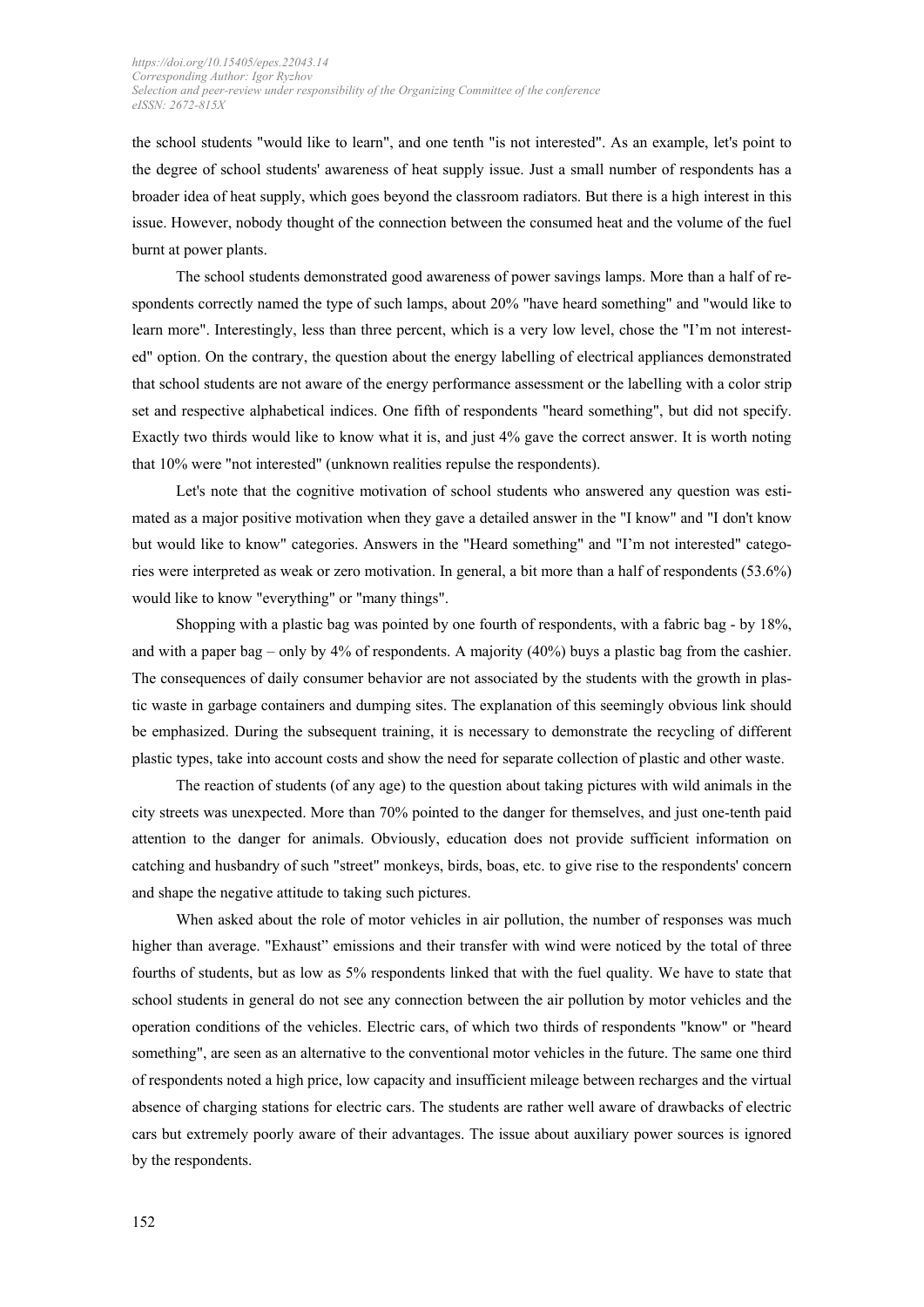the school students "would like to learn", and one tenth "is not interested". As an example, let's point to the degree of school students' awareness of heat supply issue. Just a small number of respondents has a broader idea of heat supply, which goes beyond the classroom radiators. But there is a high interest in this issue. However, nobody thought of the connection between the consumed heat and the volume of the fuel burnt at power plants.

The school students demonstrated good awareness of power savings lamps. More than a half of respondents correctly named the type of such lamps, about 20% "have heard something" and "would like to learn more". Interestingly, less than three percent, which is a very low level, chose the "I'm not interested" option. On the contrary, the question about the energy labelling of electrical appliances demonstrated that school students are not aware of the energy performance assessment or the labelling with a color strip set and respective alphabetical indices. One fifth of respondents "heard something", but did not specify. Exactly two thirds would like to know what it is, and just 4% gave the correct answer. It is worth noting that 10% were "not interested" (unknown realities repulse the respondents).

Let's note that the cognitive motivation of school students who answered any question was estimated as a major positive motivation when they gave a detailed answer in the "I know" and "I don't know but would like to know" categories. Answers in the "Heard something" and "I'm not interested" categories were interpreted as weak or zero motivation. In general, a bit more than a half of respondents (53.6%) would like to know "everything" or "many things".

Shopping with a plastic bag was pointed by one fourth of respondents, with a fabric bag - by 18%, and with a paper bag – only by 4% of respondents. A majority (40%) buys a plastic bag from the cashier. The consequences of daily consumer behavior are not associated by the students with the growth in plastic waste in garbage containers and dumping sites. The explanation of this seemingly obvious link should be emphasized. During the subsequent training, it is necessary to demonstrate the recycling of different plastic types, take into account costs and show the need for separate collection of plastic and other waste.

The reaction of students (of any age) to the question about taking pictures with wild animals in the city streets was unexpected. More than 70% pointed to the danger for themselves, and just one-tenth paid attention to the danger for animals. Obviously, education does not provide sufficient information on catching and husbandry of such "street" monkeys, birds, boas, etc. to give rise to the respondents' concern and shape the negative attitude to taking such pictures.

When asked about the role of motor vehicles in air pollution, the number of responses was much higher than average. "Exhaust" emissions and their transfer with wind were noticed by the total of three fourths of students, but as low as 5% respondents linked that with the fuel quality. We have to state that school students in general do not see any connection between the air pollution by motor vehicles and the operation conditions of the vehicles. Electric cars, of which two thirds of respondents "know" or "heard something", are seen as an alternative to the conventional motor vehicles in the future. The same one third of respondents noted a high price, low capacity and insufficient mileage between recharges and the virtual absence of charging stations for electric cars. The students are rather well aware of drawbacks of electric cars but extremely poorly aware of their advantages. The issue about auxiliary power sources is ignored by the respondents.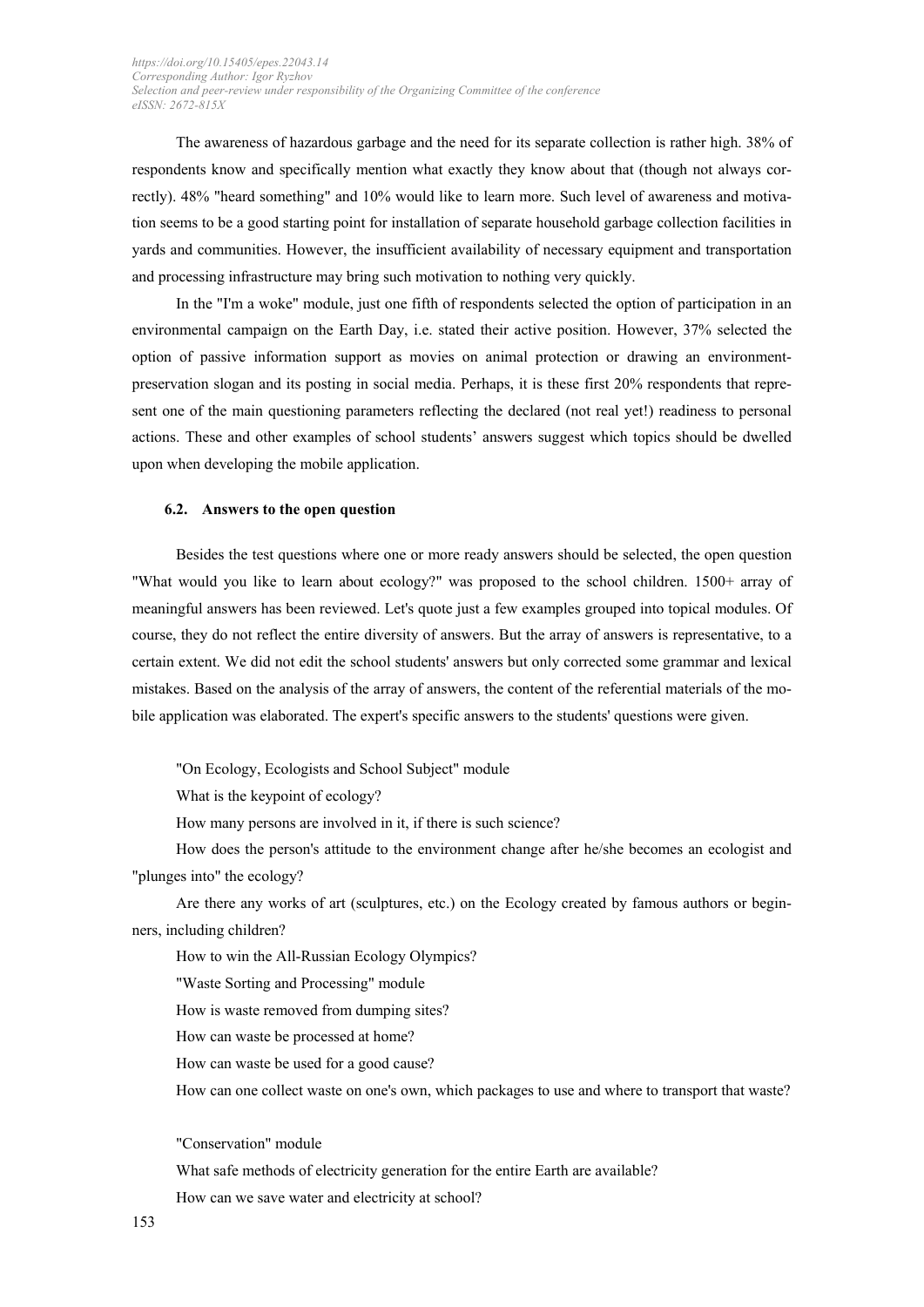The awareness of hazardous garbage and the need for its separate collection is rather high. 38% of respondents know and specifically mention what exactly they know about that (though not always correctly). 48% "heard something" and 10% would like to learn more. Such level of awareness and motivation seems to be a good starting point for installation of separate household garbage collection facilities in yards and communities. However, the insufficient availability of necessary equipment and transportation and processing infrastructure may bring such motivation to nothing very quickly.

In the "I'm a woke" module, just one fifth of respondents selected the option of participation in an environmental campaign on the Earth Day, i.e. stated their active position. However, 37% selected the option of passive information support as movies on animal protection or drawing an environmentpreservation slogan and its posting in social media. Perhaps, it is these first 20% respondents that represent one of the main questioning parameters reflecting the declared (not real yet!) readiness to personal actions. These and other examples of school students' answers suggest which topics should be dwelled upon when developing the mobile application.

#### **6.2. Answers to the open question**

Besides the test questions where one or more ready answers should be selected, the open question "What would you like to learn about ecology?" was proposed to the school children. 1500+ array of meaningful answers has been reviewed. Let's quote just a few examples grouped into topical modules. Of course, they do not reflect the entire diversity of answers. But the array of answers is representative, to a certain extent. We did not edit the school students' answers but only corrected some grammar and lexical mistakes. Based on the analysis of the array of answers, the content of the referential materials of the mobile application was elaborated. The expert's specific answers to the students' questions were given.

"On Ecology, Ecologists and School Subject" module

What is the keypoint of ecology?

How many persons are involved in it, if there is such science?

How does the person's attitude to the environment change after he/she becomes an ecologist and "plunges into" the ecology?

Are there any works of art (sculptures, etc.) on the Ecology created by famous authors or beginners, including children?

How to win the All-Russian Ecology Olympics?

"Waste Sorting and Processing" module

How is waste removed from dumping sites?

How can waste be processed at home?

How can waste be used for a good cause?

How can one collect waste on one's own, which packages to use and where to transport that waste?

#### "Conservation" module

What safe methods of electricity generation for the entire Earth are available? How can we save water and electricity at school?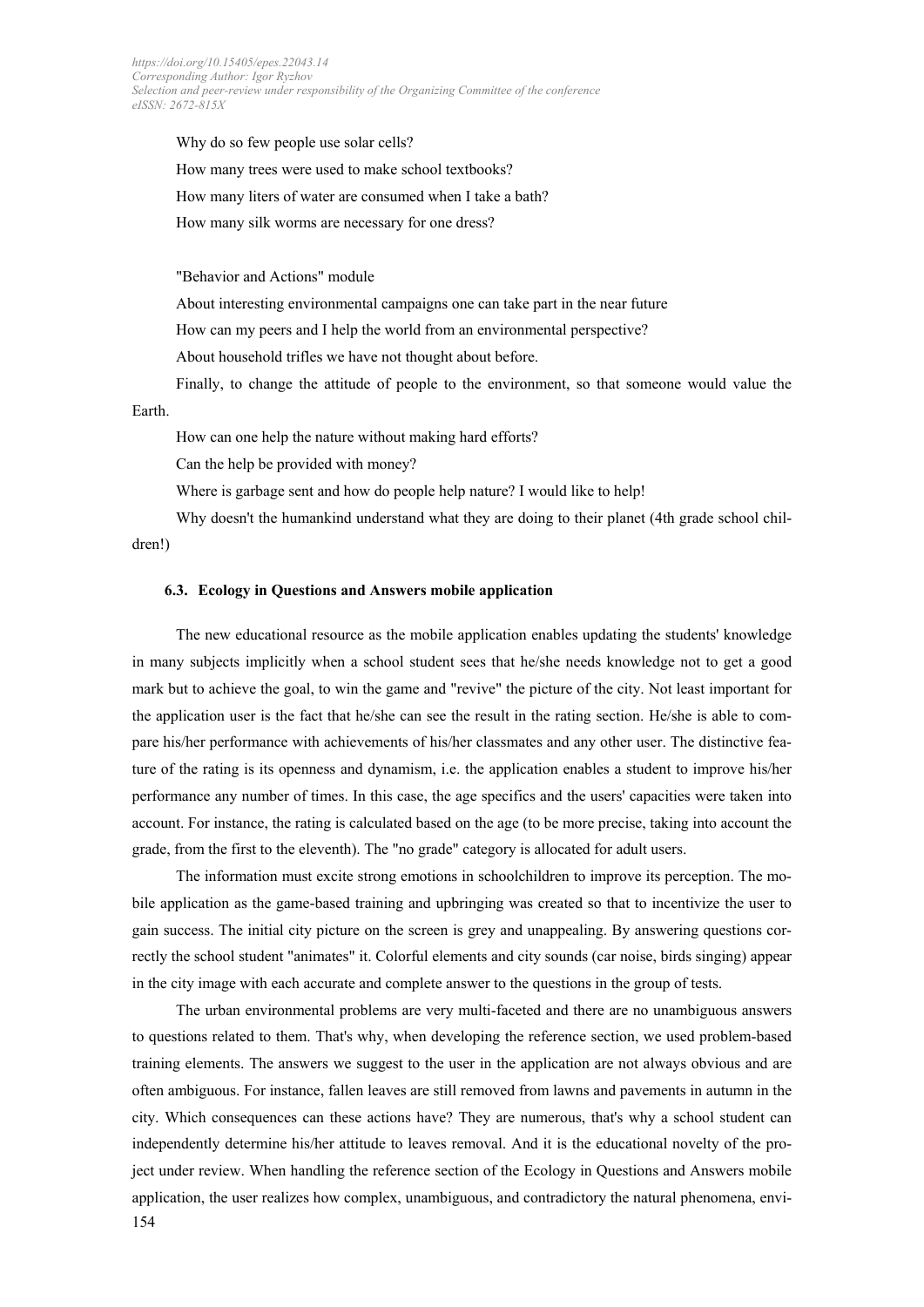Why do so few people use solar cells? How many trees were used to make school textbooks? How many liters of water are consumed when I take a bath? How many silk worms are necessary for one dress?

#### "Behavior and Actions" module

About interesting environmental campaigns one can take part in the near future

How can my peers and I help the world from an environmental perspective?

About household trifles we have not thought about before.

Finally, to change the attitude of people to the environment, so that someone would value the Earth.

How can one help the nature without making hard efforts?

Can the help be provided with money?

Where is garbage sent and how do people help nature? I would like to help!

Why doesn't the humankind understand what they are doing to their planet (4th grade school children!)

#### **6.3. Ecology in Questions and Answers mobile application**

The new educational resource as the mobile application enables updating the students' knowledge in many subjects implicitly when a school student sees that he/she needs knowledge not to get a good mark but to achieve the goal, to win the game and "revive" the picture of the city. Not least important for the application user is the fact that he/she can see the result in the rating section. He/she is able to compare his/her performance with achievements of his/her classmates and any other user. The distinctive feature of the rating is its openness and dynamism, i.e. the application enables a student to improve his/her performance any number of times. In this case, the age specifics and the users' capacities were taken into account. For instance, the rating is calculated based on the age (to be more precise, taking into account the grade, from the first to the eleventh). The "no grade" category is allocated for adult users.

The information must excite strong emotions in schoolchildren to improve its perception. The mobile application as the game-based training and upbringing was created so that to incentivize the user to gain success. The initial city picture on the screen is grey and unappealing. By answering questions correctly the school student "animates" it. Colorful elements and city sounds (car noise, birds singing) appear in the city image with each accurate and complete answer to the questions in the group of tests.

154 The urban environmental problems are very multi-faceted and there are no unambiguous answers to questions related to them. That's why, when developing the reference section, we used problem-based training elements. The answers we suggest to the user in the application are not always obvious and are often ambiguous. For instance, fallen leaves are still removed from lawns and pavements in autumn in the city. Which consequences can these actions have? They are numerous, that's why a school student can independently determine his/her attitude to leaves removal. And it is the educational novelty of the project under review. When handling the reference section of the Ecology in Questions and Answers mobile application, the user realizes how complex, unambiguous, and contradictory the natural phenomena, envi-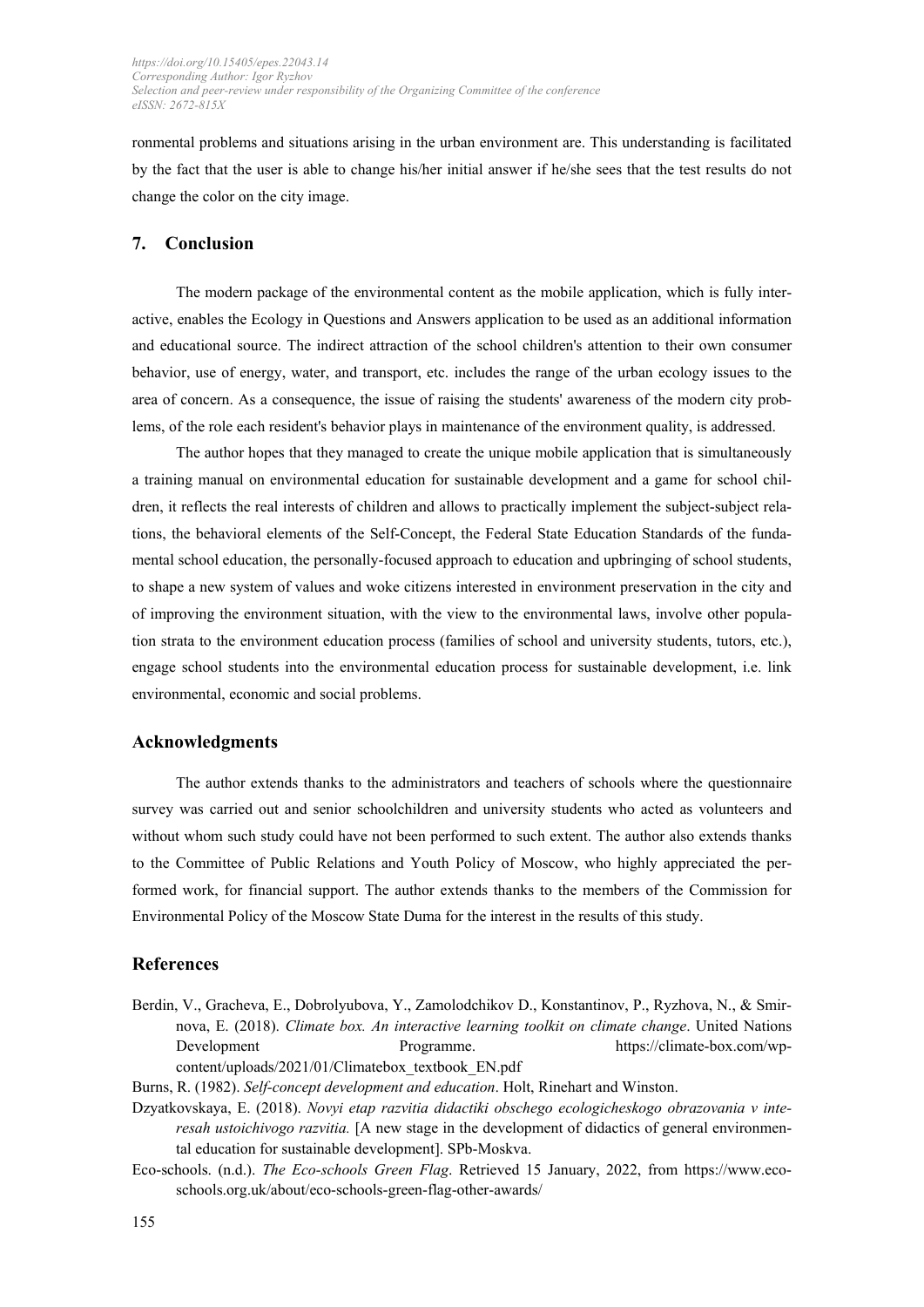ronmental problems and situations arising in the urban environment are. This understanding is facilitated by the fact that the user is able to change his/her initial answer if he/she sees that the test results do not change the color on the city image.

#### **7. Conclusion**

The modern package of the environmental content as the mobile application, which is fully interactive, enables the Ecology in Questions and Answers application to be used as an additional information and educational source. The indirect attraction of the school children's attention to their own consumer behavior, use of energy, water, and transport, etc. includes the range of the urban ecology issues to the area of concern. As a consequence, the issue of raising the students' awareness of the modern city problems, of the role each resident's behavior plays in maintenance of the environment quality, is addressed.

The author hopes that they managed to create the unique mobile application that is simultaneously a training manual on environmental education for sustainable development and a game for school children, it reflects the real interests of children and allows to practically implement the subject-subject relations, the behavioral elements of the Self-Concept, the Federal State Education Standards of the fundamental school education, the personally-focused approach to education and upbringing of school students, to shape a new system of values and woke citizens interested in environment preservation in the city and of improving the environment situation, with the view to the environmental laws, involve other population strata to the environment education process (families of school and university students, tutors, etc.), engage school students into the environmental education process for sustainable development, i.e. link environmental, economic and social problems.

## **Acknowledgments**

The author extends thanks to the administrators and teachers of schools where the questionnaire survey was carried out and senior schoolchildren and university students who acted as volunteers and without whom such study could have not been performed to such extent. The author also extends thanks to the Committee of Public Relations and Youth Policy of Moscow, who highly appreciated the performed work, for financial support. The author extends thanks to the members of the Commission for Environmental Policy of the Moscow State Duma for the interest in the results of this study.

## **References**

- Berdin, V., Gracheva, E., Dobrolyubova, Y., Zamolodchikov D., Konstantinov, P., Ryzhova, N., & Smirnova, E. (2018). *Climate box. An interactive learning toolkit on climate change*. United Nations Development Programme. https://climate-box.com/wpcontent/uploads/2021/01/Climatebox\_textbook\_EN.pdf
- Burns, R. (1982). *Self-concept development and education*. Holt, Rinehart and Winston.

Dzyatkovskaya, E. (2018). *Novyi etap razvitia didactiki obschego ecologicheskogo obrazovania v interesah ustoichivogo razvitia.* [A new stage in the development of didactics of general environmental education for sustainable development]. SPb-Moskva.

Eco-schools. (n.d.). *The Eco-schools Green Flag*. Retrieved 15 January, 2022, from [https://www.eco](https://www.eco-schools.org.uk/about/eco-schools-green-flag-other-awards/)[schools.org.uk/about/eco-schools-green-flag-other-awards/](https://www.eco-schools.org.uk/about/eco-schools-green-flag-other-awards/)